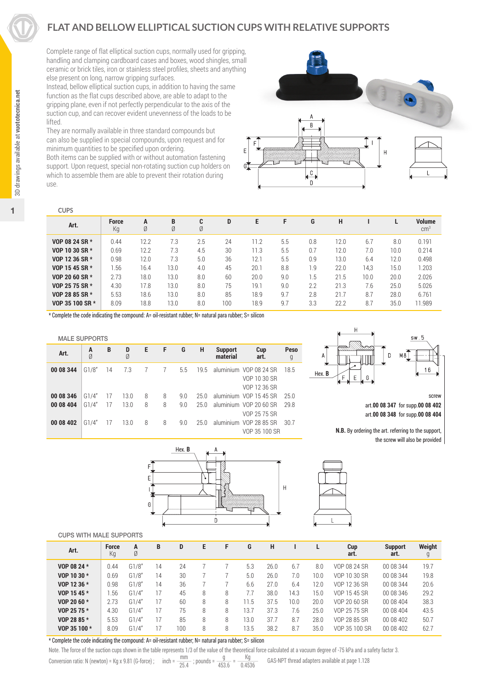# **FLAT AND BELLOW ELLIPTICAL SUCTION CUPS WITH RELATIVE SUPPORTS**

Complete range of flat elliptical suction cups, normally used for gripping, handling and clamping cardboard cases and boxes, wood shingles, small ceramic or brick tiles, iron or stainless steel profiles, sheets and anything else present on long, narrow gripping surfaces.

Instead, bellow elliptical suction cups, in addition to having the same function as the flat cups described above, are able to adapt to the gripping plane, even if not perfectly perpendicular to the axis of the suction cup, and can recover evident unevenness of the loads to be lifted.

They are normally available in three standard compounds but can also be supplied in special compounds, upon request and for minimum quantities to be specified upon ordering.

Both items can be supplied with or without automation fastening support. Upon request, special non-rotating suction cup holders on which to assemble them are able to prevent their rotation during use.



| <b>CUPS</b>     |                    |        |        |        |     |      |     |     |      |      |      |                                |
|-----------------|--------------------|--------|--------|--------|-----|------|-----|-----|------|------|------|--------------------------------|
| Art.            | <b>Force</b><br>Кg | A<br>Ø | B<br>Ø | C<br>Ø | D   | Е    | F   | G   | н    |      |      | <b>Volume</b><br>$\text{cm}^3$ |
| VOP 08 24 SR *  | 0.44               | 12.2   | 7.3    | 2.5    | 24  | 11.2 | 5.5 | 0.8 | 12.0 | 6.7  | 8.0  | 0.191                          |
| VOP 10 30 SR *  | 0.69               | 12.2   | 7.3    | 4.5    | 30  | 11.3 | 5.5 | 0.7 | 12.0 | 7.0  | 10.0 | 0.214                          |
| VOP 12 36 SR *  | 0.98               | 12.0   | 7.3    | 5.0    | 36  | 12.1 | 5.5 | 0.9 | 13.0 | 6.4  | 12.0 | 0.498                          |
| VOP 15 45 SR *  | 1.56               | 16.4   | 13.0   | 4.0    | 45  | 20.1 | 8.8 | 1.9 | 22.0 | 14.3 | 15.0 | 1.203                          |
| VOP 20 60 SR *  | 2.73               | 18.0   | 13.0   | 8.0    | 60  | 20.0 | 9.0 | 1.5 | 21.5 | 10.0 | 20.0 | 2.026                          |
| VOP 25 75 SR *  | 4.30               | 17.8   | 13.0   | 8.0    | 75  | 19.1 | 9.0 | 2.2 | 21.3 | 7.6  | 25.0 | 5.026                          |
| VOP 28 85 SR *  | 5.53               | 18.6   | 13.0   | 8.0    | 85  | 18.9 | 9.7 | 2.8 | 21.7 | 8.7  | 28.0 | 6.761                          |
| VOP 35 100 SR * | 8.09               | 18.8   | 13.0   | 8.0    | 100 | 18.9 | 9.7 | 3.3 | 22.2 | 8.7  | 35.0 | 11.989                         |
|                 |                    |        |        |        |     |      |     |     |      |      |      |                                |

\* Complete the code indicating the compound: A= oil-resistant rubber; N= natural para rubber; S= silicon



screw art.**00 08 347** for supp.**00 08 402** art.**00 08 348** for supp.**00 08 404**

**N.B.** By ordering the art. referring to the support, the screw will also be provided

| Art.      | A<br>Ø | B  | D<br>Ø | Е | F              | G   | н    | <b>Support</b><br>material | Cup<br>art.                                            | Peso<br>g |
|-----------|--------|----|--------|---|----------------|-----|------|----------------------------|--------------------------------------------------------|-----------|
| 00 08 344 | G1/8"  | 14 | 7.3    | 7 | $\overline{7}$ | 5.5 | 19.5 |                            | aluminium VOP 08 24 SR<br>VOP 10 30 SR<br>VOP 12 36 SR | 18.5      |
| 00 08 346 | G1/4"  | 17 | 13.0   | 8 | 8              | 9.0 | 25.0 |                            | aluminium VOP 15 45 SR                                 | 25.0      |
| 00 08 404 | G1/4"  | 17 | 13.0   | 8 | 8              | 9.0 | 25.0 |                            | aluminium VOP 20 60 SR<br>VOP 25 75 SR                 | 29.8      |
| 00 08 402 | G1/4"  | 17 | 13.0   | 8 | 8              | 9.0 | 25.0 |                            | aluminium VOP 28 85 SR<br>VOP 35 100 SR                | 30.7      |
|           |        |    |        |   |                |     |      |                            |                                                        |           |





#### CUPS WITH MALE SUPPORTS

MALE SUPPORTS

| <b>UUFS WITH MALL SUFFUNTS</b> |                    |        |    |     |   |   |      |      |      |      |               |                        |             |
|--------------------------------|--------------------|--------|----|-----|---|---|------|------|------|------|---------------|------------------------|-------------|
| Art.                           | <b>Force</b><br>Кg | Α<br>Ø | В  | D   | Е | F | G    | Н    |      |      | Cup<br>art.   | <b>Support</b><br>art. | Weight<br>g |
| VOP 08 24 *                    | 0.44               | G1/8"  | 14 | 24  |   |   | 5.3  | 26.0 | 6.7  | 8.0  | VOP 08 24 SR  | 00 08 344              | 19.7        |
| VOP 10 30 *                    | 0.69               | G1/8"  | 14 | 30  |   |   | 5.0  | 26.0 | 7.0  | 10.0 | VOP 10 30 SR  | 00 08 344              | 19.8        |
| VOP 12 36 *                    | 0.98               | G1/8'' | 14 | 36  |   |   | 6.6  | 27.0 | 6.4  | 12.0 | VOP 12 36 SR  | 00 08 344              | 20.6        |
| VOP 15 45 *                    | .56                | G1/4"  |    | 45  | 8 | 8 | 7.7  | 38.0 | 14.3 | 15.0 | VOP 15 45 SR  | 00 08 346              | 29.2        |
| VOP 20 60 *                    | 2.73               | G1/4"  |    | 60  | 8 | 8 | 1.5  | 37.5 | 10.0 | 20.0 | VOP 20 60 SR  | 00 08 404              | 38.3        |
| VOP 25 75 *                    | 4.30               | G1/4"  |    | 75  | 8 | 8 | 13.7 | 37.3 | 7.6  | 25.0 | VOP 25 75 SR  | 00 08 404              | 43.5        |
| VOP 28 85 *                    | 5.53               | G1/4'  |    | 85  | 8 | 8 | 13.0 | 37.7 | 8.7  | 28.0 | VOP 28 85 SR  | 00 08 402              | 50.7        |
| VOP 35 100 *                   | 8.09               | G1/4'  |    | 100 | 8 | 8 | 13.5 | 38.2 | 8.7  | 35.0 | VOP 35 100 SR | 00 08 402              | 62.7        |
|                                |                    |        |    |     |   |   |      |      |      |      |               |                        |             |

\* Complete the code indicating the compound: A= oil-resistant rubber; N= natural para rubber; S= silicon

Note. The force of the suction cups shown in the table represents 1/3 of the value of the theoretical force calculated at a vacuum degree of -75 kPa and a safety factor 3.

Conversion ratio: N (newton) = Kg x 9.81 (G-force) ; inch =  $\frac{mm}{25.4}$  ; pounds =  $\frac{g}{453.6}$  =  $\frac{Kg}{0.4536}$  GAS-NPT thread adapters available at page 1.128

1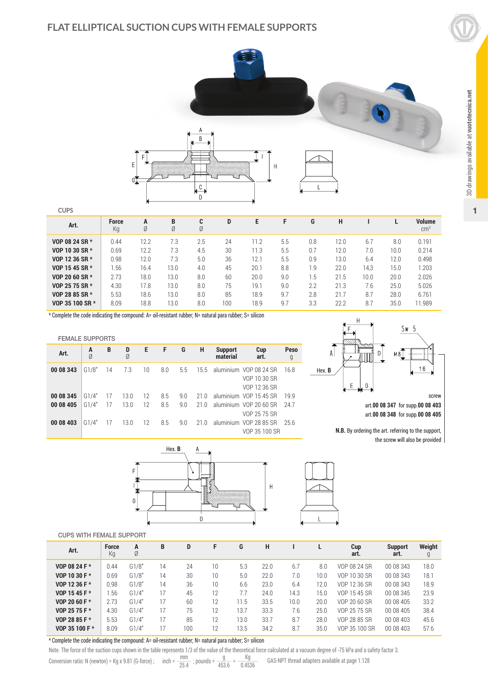

**CUPS**

FEMALE SUPPORTS

| ---             |                    |        |        |        |     |      |     |     |      |      |      |                         |
|-----------------|--------------------|--------|--------|--------|-----|------|-----|-----|------|------|------|-------------------------|
| Art.            | <b>Force</b><br>Кg | A<br>Ø | B<br>Ø | C<br>Ø | D   | E    | F   | G   | н    |      |      | Volume<br>$\text{cm}^3$ |
| VOP 08 24 SR *  | 0.44               | 12.2   | 7.3    | 2.5    | 24  | 11.2 | 5.5 | 0.8 | 12.0 | 6.7  | 8.0  | 0.191                   |
| VOP 10 30 SR *  | 0.69               | 12.2   | 7.3    | 4.5    | 30  | 11.3 | 5.5 | 0.7 | 12.0 | 7.0  | 10.0 | 0.214                   |
| VOP 12 36 SR *  | 0.98               | 12.0   | 7.3    | 5.0    | 36  | 12.1 | 5.5 | 0.9 | 13.0 | 6.4  | 12.0 | 0.498                   |
| VOP 15 45 SR *  | i.56               | 16.4   | 13.0   | 4.0    | 45  | 20.1 | 8.8 | 1.9 | 22.0 | 14.3 | 15.0 | 1.203                   |
| VOP 20 60 SR *  | 2.73               | 18.0   | 13.0   | 8.0    | 60  | 20.0 | 9.0 | 1.5 | 21.5 | 10.0 | 20.0 | 2.026                   |
| VOP 25 75 SR *  | 4.30               | 17.8   | 13.0   | 8.0    | 75  | 19.1 | 9.0 | 2.2 | 21.3 | 7.6  | 25.0 | 5.026                   |
| VOP 28 85 SR *  | 5.53               | 18.6   | 13.0   | 8.0    | 85  | 18.9 | 9.7 | 2.8 | 21.7 | 8.7  | 28.0 | 6.761                   |
| VOP 35 100 SR * | 8.09               | 18.8   | 13.0   | 8.0    | 100 | 18.9 | 9.7 | 3.3 | 22.2 | 8.7  | 35.0 | 11.989                  |

VOP 10 30 SR VOP 12 36 SR

\* Complete the code indicating the compound: A= oil-resistant rubber; N= natural para rubber; S= silicon

**Art. <sup>A</sup> <sup>B</sup> <sup>D</sup> <sup>E</sup> <sup>F</sup> <sup>G</sup> <sup>H</sup> Support Cup Peso** Ø Ø **material art.** g

**00 08 343** G1/8" 14 7.3 10 8.0 5.5 15.5 aluminium VOP 08 24 SR 16.8



**N.B.** By ordering the art. referring to the support, the screw will also be provided

| 00 08 345<br>00 08 405<br>00 08 403 | G1/4"<br>G1/4"<br>G1/4" | 17<br>17<br>- 17 | 13.0<br>13.0<br>13.0 | 12 | 12 8.5<br>8.5<br>12 8.5 | 9.0<br>9.0<br>9.0 | 21.0<br>21.0 | 21.0 aluminium VOP 15 45 SR 19.9<br>aluminium VOP 20 60 SR 24.7<br>aluminium VOP 28 85 SR 25.6 | VOP 25 75 SR<br>VOP 35 100 SR |   |  |
|-------------------------------------|-------------------------|------------------|----------------------|----|-------------------------|-------------------|--------------|------------------------------------------------------------------------------------------------|-------------------------------|---|--|
|                                     |                         |                  | F                    |    | Hex. <b>B</b>           |                   | A            | Kamada katika                                                                                  |                               | Н |  |



|  | <b>CUPS WITH FEMALE SUPPORT</b> |
|--|---------------------------------|
|  |                                 |

| <b>UUFS WITH FEWALE SUFFUNI</b> |                    |        |                |     |    |      |      |      |      |               |                        |             |
|---------------------------------|--------------------|--------|----------------|-----|----|------|------|------|------|---------------|------------------------|-------------|
| Art.                            | <b>Force</b><br>Кg | Α<br>Ø | B              | D   | F  | G    | н    |      |      | Cup<br>art.   | <b>Support</b><br>art. | Weight<br>g |
| VOP 08 24 F *                   | 0.44               | G1/8'' | $\overline{4}$ | 24  | 10 | 5.3  | 22.0 | 6.7  | 8.0  | VOP 08 24 SR  | 00 08 343              | 18.0        |
| VOP 10 30 F *                   | 0.69               | G1/8'' | 14             | 30  | 10 | 5.0  | 22.0 | 7.0  | 10.0 | VOP 10 30 SR  | 00 08 343              | 18.1        |
| VOP 12 36 F *                   | 0.98               | G1/8"  | 14             | 36  | 10 | 6.6  | 23.0 | 6.4  | 12.0 | VOP 12 36 SR  | 00 08 343              | 18.9        |
| VOP 15 45 F *                   | .56                | G1/4"  | 17             | 45  | 12 | 7.7  | 24.0 | 14.3 | 15.0 | VOP 15 45 SR  | 00 08 345              | 23.9        |
| VOP 20 60 F *                   | 2.73               | G1/4"  | 17             | 60  | 12 | 11.5 | 33.5 | 10.0 | 20.0 | VOP 20 60 SR  | 00 08 405              | 33.2        |
| VOP 25 75 F *                   | 4.30               | G1/4"  | 17             | 75  | 12 | 13.7 | 33.3 | 7.6  | 25.0 | VOP 25 75 SR  | 00 08 405              | 38.4        |
| VOP 28 85 F *                   | 5.53               | G1/4"  | 17             | 85  | 12 | 13.0 | 33.7 | 8.7  | 28.0 | VOP 28 85 SR  | 00 08 403              | 45.6        |
| VOP 35 100 F *                  | 8.09               | G1/4"  | 7              | 100 | 12 | 13.5 | 34.2 | 8.7  | 35.0 | VOP 35 100 SR | 00 08 403              | 57.6        |

\* Complete the code indicating the compound: A= oil-resistant rubber; N= natural para rubber; S= silicon

Note. The force of the suction cups shown in the table represents 1/3 of the value of the theoretical force calculated at a vacuum degree of -75 kPa and a safety factor 3.

Conversion ratio: N (newton) = Kg x 9.81 (G-force) ; inch =  $\frac{mm}{25.4}$  ; pounds =  $\frac{g}{453.6}$  =  $\frac{Kg}{0.4536}$  GAS-NPT thread adapters available at page 1.128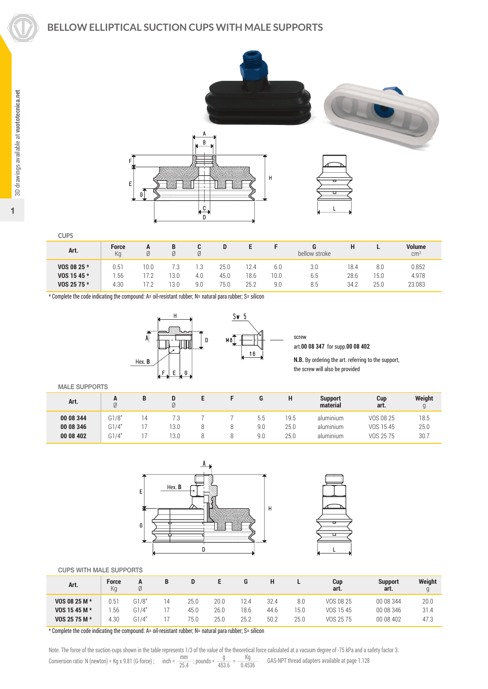1



**CUPS**

| Art.        | <b>Force</b><br>Ka | A    |      | Ø   |      |      |      | bellow stroke | п    |      | <b>Volume</b><br>cm <sup>3</sup> |
|-------------|--------------------|------|------|-----|------|------|------|---------------|------|------|----------------------------------|
| VOS 08 25 * | U.51               | '0.0 | 7.3  |     | 25.0 | 12.4 | 6.0  | 3.0           | 18.4 | 8.0  | 0.852                            |
| VOS 15 45 * | .56                |      | 13.0 | 4.0 | 45.0 | 18.6 | 10.0 | 6.5           | 28.6 | 15.0 | 4.978                            |
| VOS 25 75 * | 4.30               |      | 13.0 | 9.0 | 75.0 | 25.2 | 9.0  | 8.5           | 34.2 | 25.0 | 23.083                           |

\* Complete the code indicating the compound: A= oil-resistant rubber; N= natural para rubber; S= silicon



screw art.**00 08 347** for supp.**00 08 402**

**N.B.** By ordering the art. referring to the support, the screw will also be provided

MALE SUPPORTS

| Art.      | n     | B  | D    |  | u   | н    | <b>Support</b><br>material | Cup<br>art. | Weight |
|-----------|-------|----|------|--|-----|------|----------------------------|-------------|--------|
| 00 08 344 | G1/8" | 14 | 7.3  |  | b.b | 19.5 | aluminium                  | VOS 08 25   | 18.5   |
| 00 08 346 | G1/4" |    | 13.0 |  | 9.0 | 25.0 | aluminium                  | VOS 1545    | 25.0   |
| 00 08 402 | G1/4" |    | 13.0 |  | 9.0 | 25.0 | aluminium                  | VOS 25 75   | 30.7   |





#### CUPS WITH MALE SUPPORTS

| Art.          | <b>Force</b><br>Ka | Ø     | B  |      |      |      |      |      | Cup<br>art. | <b>Support</b><br>art. | Weight |
|---------------|--------------------|-------|----|------|------|------|------|------|-------------|------------------------|--------|
| VOS 08 25 M * | 0.51               | G1/8" | 14 | 25.0 | 20.0 | 12.4 | 32.4 | 8.0  | VOS 08 25   | 00 08 344              | 20.0   |
| VOS 15 45 M * | .56                | G1/4" |    | 45.0 | 26.0 | 18.6 | 44.6 | 15.0 | VOS 1545    | 00 08 346              | 31.4   |
| VOS 25 75 M * | 4.30               | G1/4" |    | 75.0 | 25.0 | 25.2 | 50.2 | 25.0 | VOS 25 75   | 00 08 402              | 47.3   |

\* Complete the code indicating the compound: A= oil-resistant rubber; N= natural para rubber; S= silicon

Note. The force of the suction cups shown in the table represents 1/3 of the value of the theoretical force calculated at a vacuum degree of -75 kPa and a safety factor 3. Conversion ratio: N (newton) = Kg x 9.81 (G-force) ; inch =  $\frac{mm}{25.4}$  ; pounds =  $\frac{g}{453.6}$  =  $\frac{Kg}{0.4536}$  GAS-NPT thread adapters available at page 1.128